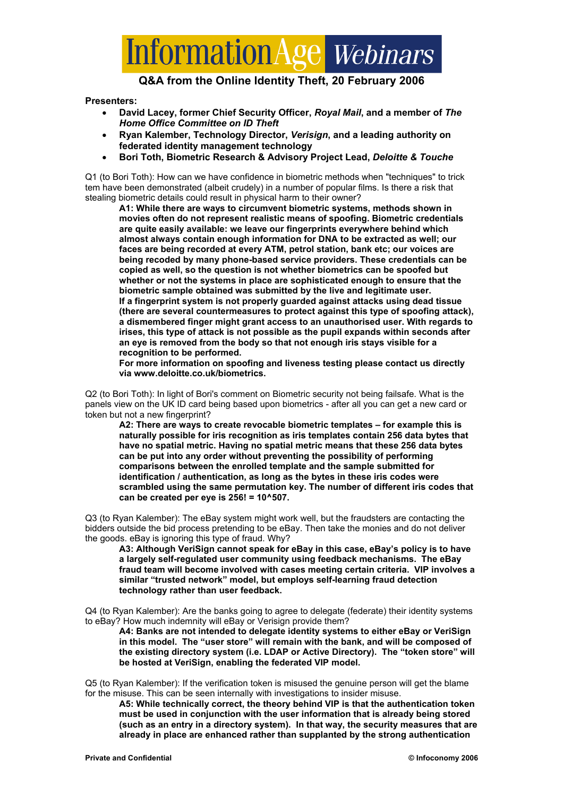

#### **Q&A from the Online Identity Theft, 20 February 2006**

**Presenters:** 

- **David Lacey, former Chief Security Officer,** *Royal Mail***, and a member of** *The Home Office Committee on ID Theft*
- **Ryan Kalember, Technology Director,** *Verisign***, and a leading authority on federated identity management technology**
- **Bori Toth, Biometric Research & Advisory Project Lead,** *Deloitte & Touche*

Q1 (to Bori Toth): How can we have confidence in biometric methods when "techniques" to trick tem have been demonstrated (albeit crudely) in a number of popular films. Is there a risk that stealing biometric details could result in physical harm to their owner?

**A1: While there are ways to circumvent biometric systems, methods shown in movies often do not represent realistic means of spoofing. Biometric credentials are quite easily available: we leave our fingerprints everywhere behind which almost always contain enough information for DNA to be extracted as well; our faces are being recorded at every ATM, petrol station, bank etc; our voices are being recoded by many phone-based service providers. These credentials can be copied as well, so the question is not whether biometrics can be spoofed but whether or not the systems in place are sophisticated enough to ensure that the biometric sample obtained was submitted by the live and legitimate user. If a fingerprint system is not properly guarded against attacks using dead tissue (there are several countermeasures to protect against this type of spoofing attack), a dismembered finger might grant access to an unauthorised user. With regards to irises, this type of attack is not possible as the pupil expands within seconds after an eye is removed from the body so that not enough iris stays visible for a recognition to be performed.** 

**For more information on spoofing and liveness testing please contact us directly via www.deloitte.co.uk/biometrics.** 

Q2 (to Bori Toth): In light of Bori's comment on Biometric security not being failsafe. What is the panels view on the UK ID card being based upon biometrics - after all you can get a new card or token but not a new fingerprint?

**A2: There are ways to create revocable biometric templates – for example this is naturally possible for iris recognition as iris templates contain 256 data bytes that have no spatial metric. Having no spatial metric means that these 256 data bytes can be put into any order without preventing the possibility of performing comparisons between the enrolled template and the sample submitted for identification / authentication, as long as the bytes in these iris codes were scrambled using the same permutation key. The number of different iris codes that can be created per eye is 256! = 10^507.** 

Q3 (to Ryan Kalember): The eBay system might work well, but the fraudsters are contacting the bidders outside the bid process pretending to be eBay. Then take the monies and do not deliver the goods. eBay is ignoring this type of fraud. Why?

**A3: Although VeriSign cannot speak for eBay in this case, eBay's policy is to have a largely self-regulated user community using feedback mechanisms. The eBay fraud team will become involved with cases meeting certain criteria. VIP involves a similar "trusted network" model, but employs self-learning fraud detection technology rather than user feedback.** 

Q4 (to Ryan Kalember): Are the banks going to agree to delegate (federate) their identity systems to eBay? How much indemnity will eBay or Verisign provide them?

**A4: Banks are not intended to delegate identity systems to either eBay or VeriSign in this model. The "user store" will remain with the bank, and will be composed of the existing directory system (i.e. LDAP or Active Directory). The "token store" will be hosted at VeriSign, enabling the federated VIP model.** 

Q5 (to Ryan Kalember): If the verification token is misused the genuine person will get the blame for the misuse. This can be seen internally with investigations to insider misuse.

**A5: While technically correct, the theory behind VIP is that the authentication token must be used in conjunction with the user information that is already being stored (such as an entry in a directory system). In that way, the security measures that are already in place are enhanced rather than supplanted by the strong authentication**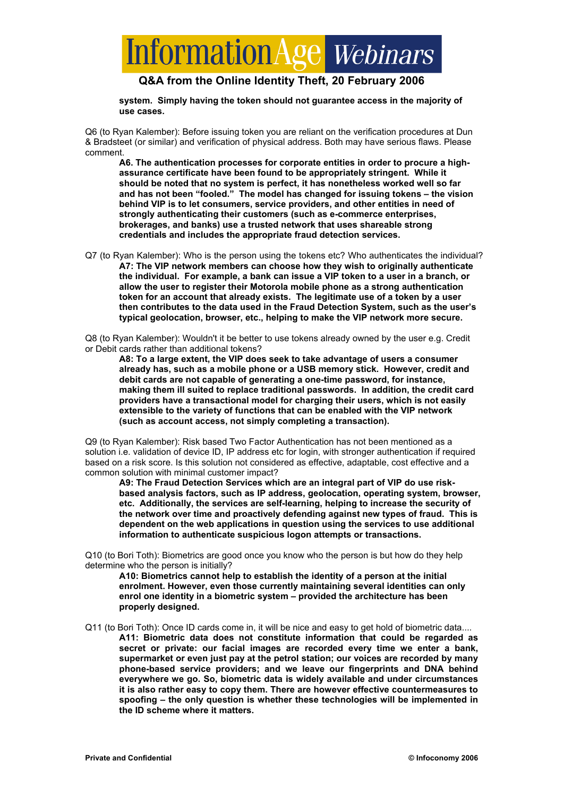# **Information Age** Webinars

### **Q&A from the Online Identity Theft, 20 February 2006**

**system. Simply having the token should not guarantee access in the majority of use cases.** 

Q6 (to Ryan Kalember): Before issuing token you are reliant on the verification procedures at Dun & Bradsteet (or similar) and verification of physical address. Both may have serious flaws. Please comment.

**A6. The authentication processes for corporate entities in order to procure a highassurance certificate have been found to be appropriately stringent. While it should be noted that no system is perfect, it has nonetheless worked well so far and has not been "fooled." The model has changed for issuing tokens – the vision behind VIP is to let consumers, service providers, and other entities in need of strongly authenticating their customers (such as e-commerce enterprises, brokerages, and banks) use a trusted network that uses shareable strong credentials and includes the appropriate fraud detection services.** 

Q7 (to Ryan Kalember): Who is the person using the tokens etc? Who authenticates the individual? **A7: The VIP network members can choose how they wish to originally authenticate the individual. For example, a bank can issue a VIP token to a user in a branch, or allow the user to register their Motorola mobile phone as a strong authentication token for an account that already exists. The legitimate use of a token by a user then contributes to the data used in the Fraud Detection System, such as the user's typical geolocation, browser, etc., helping to make the VIP network more secure.** 

Q8 (to Ryan Kalember): Wouldn't it be better to use tokens already owned by the user e.g. Credit or Debit cards rather than additional tokens?

**A8: To a large extent, the VIP does seek to take advantage of users a consumer already has, such as a mobile phone or a USB memory stick. However, credit and debit cards are not capable of generating a one-time password, for instance, making them ill suited to replace traditional passwords. In addition, the credit card providers have a transactional model for charging their users, which is not easily extensible to the variety of functions that can be enabled with the VIP network (such as account access, not simply completing a transaction).** 

Q9 (to Ryan Kalember): Risk based Two Factor Authentication has not been mentioned as a solution i.e. validation of device ID, IP address etc for login, with stronger authentication if required based on a risk score. Is this solution not considered as effective, adaptable, cost effective and a common solution with minimal customer impact?

**A9: The Fraud Detection Services which are an integral part of VIP do use riskbased analysis factors, such as IP address, geolocation, operating system, browser, etc. Additionally, the services are self-learning, helping to increase the security of the network over time and proactively defending against new types of fraud. This is dependent on the web applications in question using the services to use additional information to authenticate suspicious logon attempts or transactions.** 

Q10 (to Bori Toth): Biometrics are good once you know who the person is but how do they help determine who the person is initially?

**A10: Biometrics cannot help to establish the identity of a person at the initial enrolment. However, even those currently maintaining several identities can only enrol one identity in a biometric system – provided the architecture has been properly designed.** 

Q11 (to Bori Toth): Once ID cards come in, it will be nice and easy to get hold of biometric data.... **A11: Biometric data does not constitute information that could be regarded as secret or private: our facial images are recorded every time we enter a bank, supermarket or even just pay at the petrol station; our voices are recorded by many phone-based service providers; and we leave our fingerprints and DNA behind everywhere we go. So, biometric data is widely available and under circumstances it is also rather easy to copy them. There are however effective countermeasures to spoofing – the only question is whether these technologies will be implemented in the ID scheme where it matters.**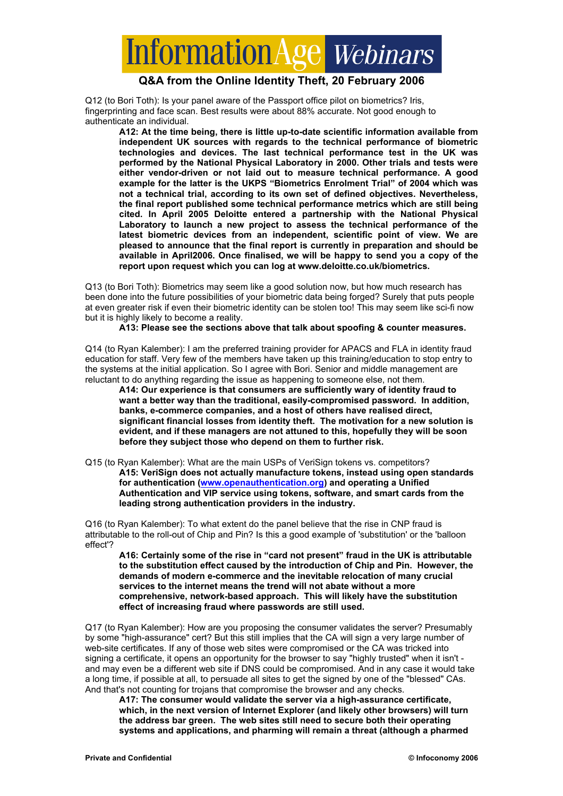# formation Age Webinars

#### **Q&A from the Online Identity Theft, 20 February 2006**

Q12 (to Bori Toth): Is your panel aware of the Passport office pilot on biometrics? Iris, fingerprinting and face scan. Best results were about 88% accurate. Not good enough to authenticate an individual.

**A12: At the time being, there is little up-to-date scientific information available from independent UK sources with regards to the technical performance of biometric technologies and devices. The last technical performance test in the UK was performed by the National Physical Laboratory in 2000. Other trials and tests were either vendor-driven or not laid out to measure technical performance. A good example for the latter is the UKPS "Biometrics Enrolment Trial" of 2004 which was not a technical trial, according to its own set of defined objectives. Nevertheless, the final report published some technical performance metrics which are still being cited. In April 2005 Deloitte entered a partnership with the National Physical Laboratory to launch a new project to assess the technical performance of the latest biometric devices from an independent, scientific point of view. We are pleased to announce that the final report is currently in preparation and should be available in April2006. Once finalised, we will be happy to send you a copy of the report upon request which you can log at www.deloitte.co.uk/biometrics.** 

Q13 (to Bori Toth): Biometrics may seem like a good solution now, but how much research has been done into the future possibilities of your biometric data being forged? Surely that puts people at even greater risk if even their biometric identity can be stolen too! This may seem like sci-fi now but it is highly likely to become a reality.

**A13: Please see the sections above that talk about spoofing & counter measures.** 

Q14 (to Ryan Kalember): I am the preferred training provider for APACS and FLA in identity fraud education for staff. Very few of the members have taken up this training/education to stop entry to the systems at the initial application. So I agree with Bori. Senior and middle management are reluctant to do anything regarding the issue as happening to someone else, not them.

**A14: Our experience is that consumers are sufficiently wary of identity fraud to want a better way than the traditional, easily-compromised password. In addition, banks, e-commerce companies, and a host of others have realised direct, significant financial losses from identity theft. The motivation for a new solution is evident, and if these managers are not attuned to this, hopefully they will be soon before they subject those who depend on them to further risk.** 

Q15 (to Ryan Kalember): What are the main USPs of VeriSign tokens vs. competitors? **A15: VeriSign does not actually manufacture tokens, instead using open standards for authentication (www.openauthentication.org) and operating a Unified Authentication and VIP service using tokens, software, and smart cards from the leading strong authentication providers in the industry.** 

Q16 (to Ryan Kalember): To what extent do the panel believe that the rise in CNP fraud is attributable to the roll-out of Chip and Pin? Is this a good example of 'substitution' or the 'balloon effect'?

**A16: Certainly some of the rise in "card not present" fraud in the UK is attributable to the substitution effect caused by the introduction of Chip and Pin. However, the demands of modern e-commerce and the inevitable relocation of many crucial services to the internet means the trend will not abate without a more comprehensive, network-based approach. This will likely have the substitution effect of increasing fraud where passwords are still used.** 

Q17 (to Ryan Kalember): How are you proposing the consumer validates the server? Presumably by some "high-assurance" cert? But this still implies that the CA will sign a very large number of web-site certificates. If any of those web sites were compromised or the CA was tricked into signing a certificate, it opens an opportunity for the browser to say "highly trusted" when it isn't and may even be a different web site if DNS could be compromised. And in any case it would take a long time, if possible at all, to persuade all sites to get the signed by one of the "blessed" CAs. And that's not counting for trojans that compromise the browser and any checks.

**A17: The consumer would validate the server via a high-assurance certificate, which, in the next version of Internet Explorer (and likely other browsers) will turn the address bar green. The web sites still need to secure both their operating systems and applications, and pharming will remain a threat (although a pharmed**